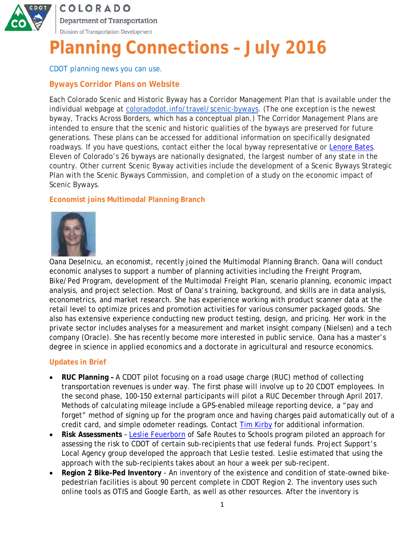

# **COLORADO** Department of Transportation Division of Transportation Development

# **Planning Connections – July 2016**

*CDOT planning news you can use.*

# **Byways Corridor Plans on Website**

Each Colorado Scenic and Historic Byway has a Corridor Management Plan that is available under the individual webpage at coloradodot.info/travel/scenic-byways. (The one exception is the newest byway, Tracks Across Borders, which has a conceptual plan.) The Corridor Management Plans are intended to ensure that the scenic and historic qualities of the byways are preserved for future generations. These plans can be accessed for additional information on specifically designated roadways. If you have questions, contact either the local byway representative or Lenore Bates. Eleven of Colorado's 26 byways are nationally designated, the largest number of any state in the country. Other current Scenic Byway activities include the development of a Scenic Byways Strategic Plan with the Scenic Byways Commission, and completion of a study on the economic impact of Scenic Byways.

## **Economist joins Multimodal Planning Branch**



Oana Deselnicu, an economist, recently joined the Multimodal Planning Branch. Oana will conduct economic analyses to support a number of planning activities including the Freight Program, Bike/Ped Program, development of the Multimodal Freight Plan, scenario planning, economic impact analysis, and project selection. Most of Oana's training, background, and skills are in data analysis, econometrics, and market research. She has experience working with product scanner data at the retail level to optimize prices and promotion activities for various consumer packaged goods. She also has extensive experience conducting new product testing, design, and pricing. Her work in the private sector includes analyses for a measurement and market insight company (Nielsen) and a tech company (Oracle). She has recently become more interested in public service. Oana has a master's degree in science in applied economics and a doctorate in agricultural and resource economics.

### **Updates in Brief**

- **RUC Planning** A CDOT pilot focusing on a road usage charge (RUC) method of collecting transportation revenues is under way. The first phase will involve up to 20 CDOT employees. In the second phase, 100-150 external participants will pilot a RUC December through April 2017. Methods of calculating mileage include a GPS-enabled mileage reporting device, a "pay and forget" method of signing up for the program once and having charges paid automatically out of a credit card, and simple odometer readings. Contact Tim Kirby for additional information.
- **Risk Assessments**  Leslie Feuerborn of Safe Routes to Schools program piloted an approach for assessing the risk to CDOT of certain sub-recipients that use federal funds. Project Support's Local Agency group developed the approach that Leslie tested. Leslie estimated that using the approach with the sub-recipients takes about an hour a week per sub-recipent.
- **Region 2 Bike-Ped Inventory**  An inventory of the existence and condition of state-owned bikepedestrian facilities is about 90 percent complete in CDOT Region 2. The inventory uses such online tools as OTIS and Google Earth, as well as other resources. After the inventory is